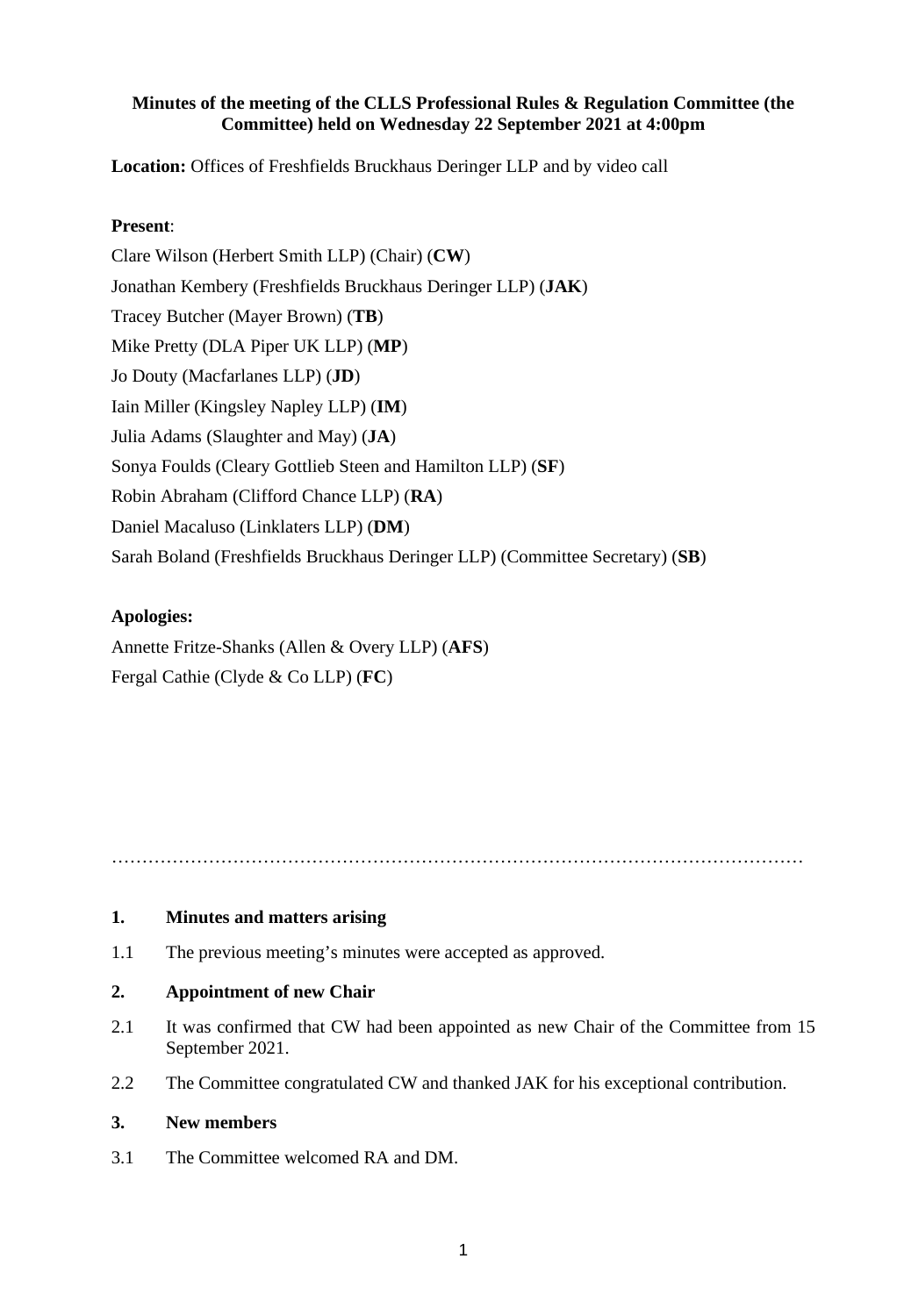## **Minutes of the meeting of the CLLS Professional Rules & Regulation Committee (the Committee) held on Wednesday 22 September 2021 at 4:00pm**

**Location:** Offices of Freshfields Bruckhaus Deringer LLP and by video call

## **Present**:

Clare Wilson (Herbert Smith LLP) (Chair) (**CW**) Jonathan Kembery (Freshfields Bruckhaus Deringer LLP) (**JAK**) Tracey Butcher (Mayer Brown) (**TB**) Mike Pretty (DLA Piper UK LLP) (**MP**) Jo Douty (Macfarlanes LLP) (**JD**) Iain Miller (Kingsley Napley LLP) (**IM**) Julia Adams (Slaughter and May) (**JA**) Sonya Foulds (Cleary Gottlieb Steen and Hamilton LLP) (**SF**) Robin Abraham (Clifford Chance LLP) (**RA**) Daniel Macaluso (Linklaters LLP) (**DM**) Sarah Boland (Freshfields Bruckhaus Deringer LLP) (Committee Secretary) (**SB**)

# **Apologies:**

Annette Fritze-Shanks (Allen & Overy LLP) (**AFS**) Fergal Cathie (Clyde & Co LLP) (**FC**)

……………………………………………………………………………………………………

#### **1. Minutes and matters arising**

1.1 The previous meeting's minutes were accepted as approved.

#### **2. Appointment of new Chair**

- 2.1 It was confirmed that CW had been appointed as new Chair of the Committee from 15 September 2021.
- 2.2 The Committee congratulated CW and thanked JAK for his exceptional contribution.

#### **3. New members**

3.1 The Committee welcomed RA and DM.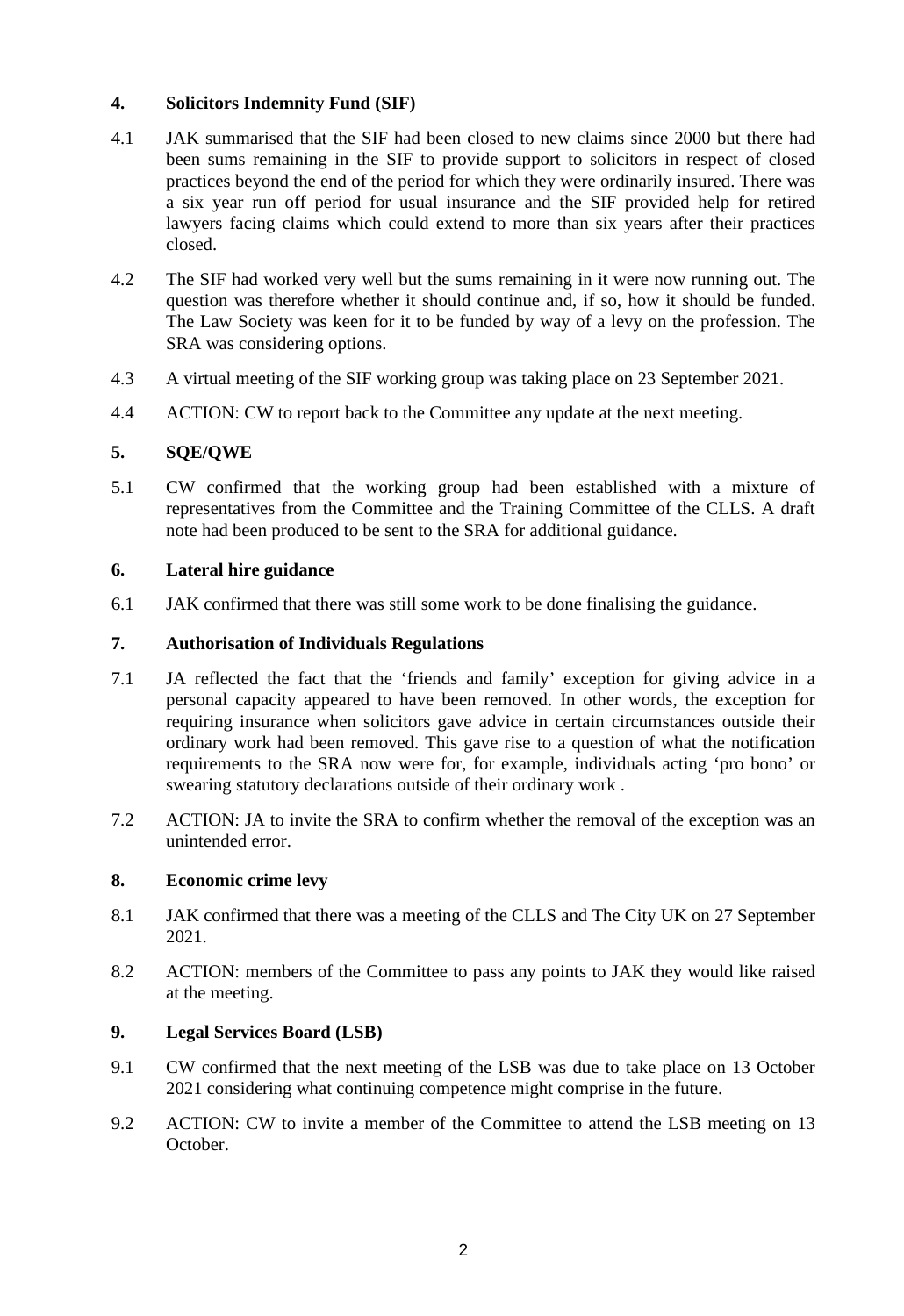## **4. Solicitors Indemnity Fund (SIF)**

- 4.1 JAK summarised that the SIF had been closed to new claims since 2000 but there had been sums remaining in the SIF to provide support to solicitors in respect of closed practices beyond the end of the period for which they were ordinarily insured. There was a six year run off period for usual insurance and the SIF provided help for retired lawyers facing claims which could extend to more than six years after their practices closed.
- 4.2 The SIF had worked very well but the sums remaining in it were now running out. The question was therefore whether it should continue and, if so, how it should be funded. The Law Society was keen for it to be funded by way of a levy on the profession. The SRA was considering options.
- 4.3 A virtual meeting of the SIF working group was taking place on 23 September 2021.
- 4.4 ACTION: CW to report back to the Committee any update at the next meeting.

#### **5. SQE/QWE**

5.1 CW confirmed that the working group had been established with a mixture of representatives from the Committee and the Training Committee of the CLLS. A draft note had been produced to be sent to the SRA for additional guidance.

#### **6. Lateral hire guidance**

6.1 JAK confirmed that there was still some work to be done finalising the guidance.

#### **7. Authorisation of Individuals Regulations**

- 7.1 JA reflected the fact that the 'friends and family' exception for giving advice in a personal capacity appeared to have been removed. In other words, the exception for requiring insurance when solicitors gave advice in certain circumstances outside their ordinary work had been removed. This gave rise to a question of what the notification requirements to the SRA now were for, for example, individuals acting 'pro bono' or swearing statutory declarations outside of their ordinary work .
- 7.2 ACTION: JA to invite the SRA to confirm whether the removal of the exception was an unintended error.

#### **8. Economic crime levy**

- 8.1 JAK confirmed that there was a meeting of the CLLS and The City UK on 27 September 2021.
- 8.2 ACTION: members of the Committee to pass any points to JAK they would like raised at the meeting.

#### **9. Legal Services Board (LSB)**

- 9.1 CW confirmed that the next meeting of the LSB was due to take place on 13 October 2021 considering what continuing competence might comprise in the future.
- 9.2 ACTION: CW to invite a member of the Committee to attend the LSB meeting on 13 October.